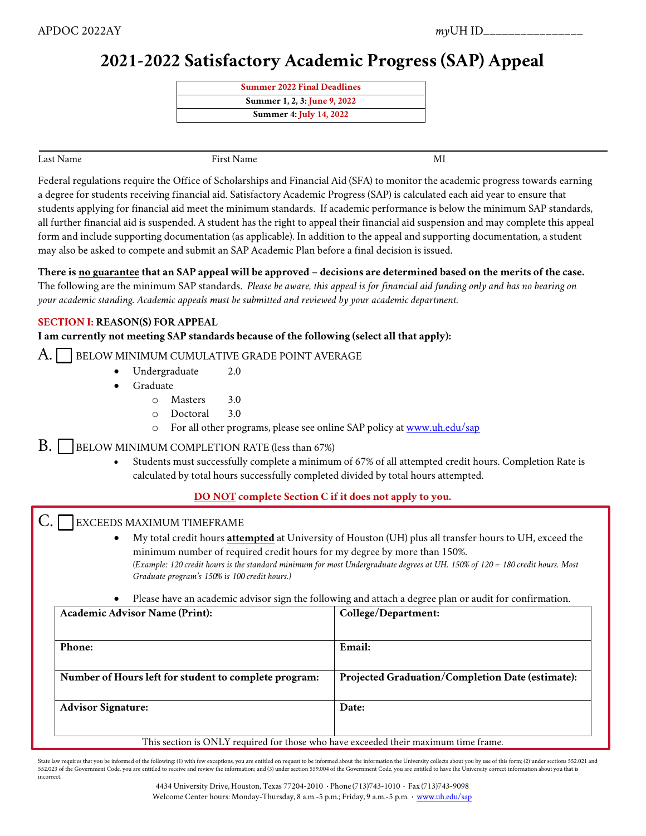# **2021-2022 Satisfactory Academic Progress (SAP) Appeal**

| <b>Summer 2022 Final Deadlines</b> |
|------------------------------------|
| Summer 1, 2, 3: June 9, 2022       |
| Summer 4: July 14, 2022            |

Last Name First Name MI

Federal regulations require the Office of Scholarships and Financial Aid (SFA) to monitor the academic progress towards earning a degree for students receiving financial aid. Satisfactory Academic Progress (SAP) is calculated each aid year to ensure that students applying for financial aid meet the minimum standards. If academic performance is below the minimum SAP standards, all further financial aid is suspended. A student has the right to appeal their financial aid suspension and may complete this appeal form and include supporting documentation (as applicable). In addition to the appeal and supporting documentation, a student may also be asked to compete and submit an SAP Academic Plan before a final decision is issued.

**There is no guarantee that an SAP appeal will be approved – decisions are determined based on the merits of the case.** The following are the minimum SAP standards. *Please be aware, this appeal is for financial aid funding only and has no bearing on* 

*your academic standing. Academic appeals must be submitted and reviewed by your academic department.*

## **SECTION I: REASON(S) FOR APPEAL**

# **I am currently not meeting SAP standards because of the following (select all that apply):**

# A. BELOW MINIMUM CUMULATIVE GRADE POINT AVERAGE

- Undergraduate 2.0
- **Graduate** 
	- o Masters 3.0
	- o Doctoral 3.0
	- o For all other programs, please see online SAP policy a[t www.uh.edu/sap](http://www.uh.edu/sap)
- $\mathbf{B}$ . | BELOW MINIMUM COMPLETION RATE (less than 67%)
	- Students must successfully complete a minimum of 67% of all attempted credit hours. Completion Rate is calculated by total hours successfully completed divided by total hours attempted.

# **DO NOT complete Section C if it does not apply to you.**

EXCEEDS MAXIMUM TIMEFRAME

• My total credit hours **attempted** at University of Houston (UH) plus all transfer hours to UH, exceed the minimum number of required credit hours for my degree by more than 150%. *(Example: 120 credit hours is the standard minimum for most Undergraduate degrees at UH. 150% of 120 = 180 credit hours. Most Graduate program's 150% is 100 credit hours.)*

• Please have an academic advisor sign the following and attach a degree plan or audit for confirmation.

| <b>Academic Advisor Name (Print):</b>                                               | College/Department:                                     |
|-------------------------------------------------------------------------------------|---------------------------------------------------------|
|                                                                                     |                                                         |
| Phone:                                                                              | Email:                                                  |
|                                                                                     |                                                         |
| Number of Hours left for student to complete program:                               | <b>Projected Graduation/Completion Date (estimate):</b> |
|                                                                                     |                                                         |
| <b>Advisor Signature:</b>                                                           | Date:                                                   |
|                                                                                     |                                                         |
| This section is ONLY required for those who have exceeded their maximum time frame. |                                                         |

State law requires that you be informed of the following: (1) with few exceptions, you are entitled on request to be informed about the information the University collects about you by use of this form; (2) under sections 552.023 of the Government Code, you are entitled to receive and review the information; and (3) under section 559.004 of the Government Code, you are entitled to have the University correct information about you that is incorrect.